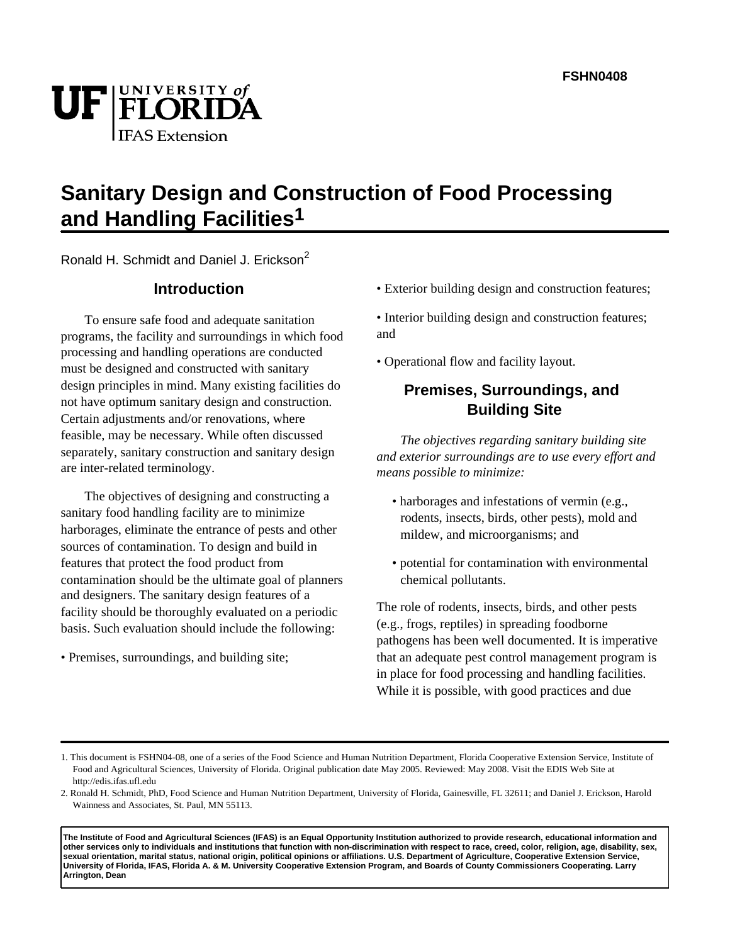# UF FLORIDA **IFAS** Extension

## **Sanitary Design and Construction of Food Processing and Handling Facilities1**

Ronald H. Schmidt and Daniel J. Erickson<sup>2</sup>

## **Introduction**

To ensure safe food and adequate sanitation programs, the facility and surroundings in which food processing and handling operations are conducted must be designed and constructed with sanitary design principles in mind. Many existing facilities do not have optimum sanitary design and construction. Certain adjustments and/or renovations, where feasible, may be necessary. While often discussed separately, sanitary construction and sanitary design are inter-related terminology.

The objectives of designing and constructing a sanitary food handling facility are to minimize harborages, eliminate the entrance of pests and other sources of contamination. To design and build in features that protect the food product from contamination should be the ultimate goal of planners and designers. The sanitary design features of a facility should be thoroughly evaluated on a periodic basis. Such evaluation should include the following:

• Premises, surroundings, and building site;

• Exterior building design and construction features;

• Interior building design and construction features; and

• Operational flow and facility layout.

## **Premises, Surroundings, and Building Site**

*The objectives regarding sanitary building site and exterior surroundings are to use every effort and means possible to minimize:*

- harborages and infestations of vermin (e.g., rodents, insects, birds, other pests), mold and mildew, and microorganisms; and
- potential for contamination with environmental chemical pollutants.

The role of rodents, insects, birds, and other pests (e.g., frogs, reptiles) in spreading foodborne pathogens has been well documented. It is imperative that an adequate pest control management program is in place for food processing and handling facilities. While it is possible, with good practices and due

**The Institute of Food and Agricultural Sciences (IFAS) is an Equal Opportunity Institution authorized to provide research, educational information and other services only to individuals and institutions that function with non-discrimination with respect to race, creed, color, religion, age, disability, sex, sexual orientation, marital status, national origin, political opinions or affiliations. U.S. Department of Agriculture, Cooperative Extension Service, University of Florida, IFAS, Florida A. & M. University Cooperative Extension Program, and Boards of County Commissioners Cooperating. Larry Arrington, Dean**

<sup>1.</sup> This document is FSHN04-08, one of a series of the Food Science and Human Nutrition Department, Florida Cooperative Extension Service, Institute of Food and Agricultural Sciences, University of Florida. Original publication date May 2005. Reviewed: May 2008. Visit the EDIS Web Site at http://edis.ifas.ufl.edu

<sup>2.</sup> Ronald H. Schmidt, PhD, Food Science and Human Nutrition Department, University of Florida, Gainesville, FL 32611; and Daniel J. Erickson, Harold Wainness and Associates, St. Paul, MN 55113.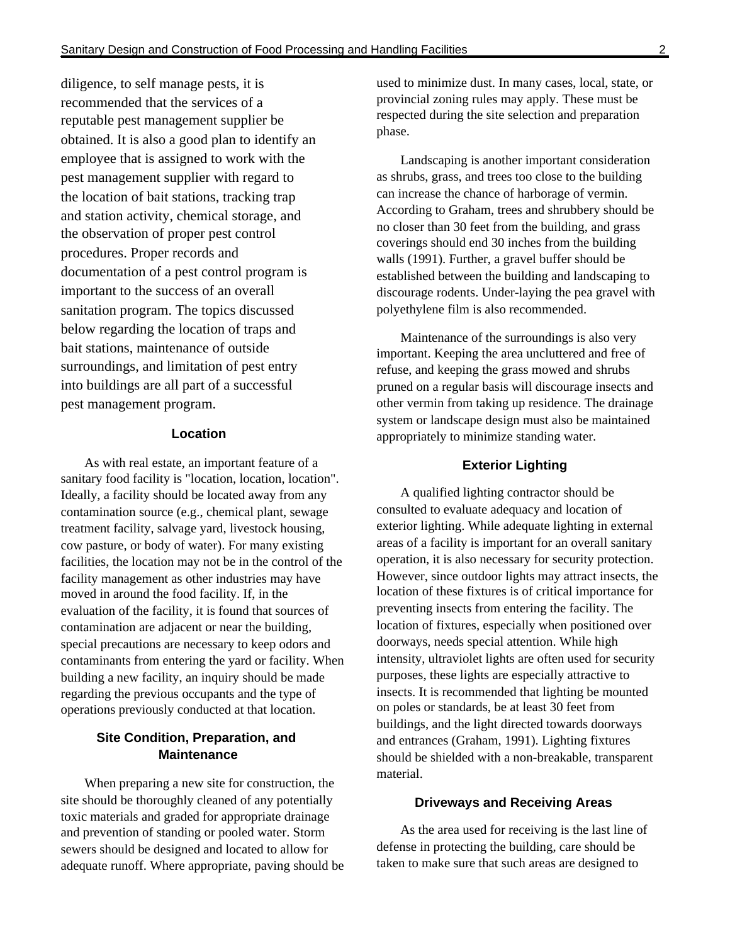diligence, to self manage pests, it is recommended that the services of a reputable pest management supplier be obtained. It is also a good plan to identify an employee that is assigned to work with the pest management supplier with regard to the location of bait stations, tracking trap and station activity, chemical storage, and the observation of proper pest control procedures. Proper records and documentation of a pest control program is important to the success of an overall sanitation program. The topics discussed below regarding the location of traps and bait stations, maintenance of outside surroundings, and limitation of pest entry into buildings are all part of a successful pest management program.

### **Location**

As with real estate, an important feature of a sanitary food facility is "location, location, location". Ideally, a facility should be located away from any contamination source (e.g., chemical plant, sewage treatment facility, salvage yard, livestock housing, cow pasture, or body of water). For many existing facilities, the location may not be in the control of the facility management as other industries may have moved in around the food facility. If, in the evaluation of the facility, it is found that sources of contamination are adjacent or near the building, special precautions are necessary to keep odors and contaminants from entering the yard or facility. When building a new facility, an inquiry should be made regarding the previous occupants and the type of operations previously conducted at that location.

#### **Site Condition, Preparation, and Maintenance**

When preparing a new site for construction, the site should be thoroughly cleaned of any potentially toxic materials and graded for appropriate drainage and prevention of standing or pooled water. Storm sewers should be designed and located to allow for adequate runoff. Where appropriate, paving should be used to minimize dust. In many cases, local, state, or provincial zoning rules may apply. These must be respected during the site selection and preparation phase.

Landscaping is another important consideration as shrubs, grass, and trees too close to the building can increase the chance of harborage of vermin. According to Graham, trees and shrubbery should be no closer than 30 feet from the building, and grass coverings should end 30 inches from the building walls (1991). Further, a gravel buffer should be established between the building and landscaping to discourage rodents. Under-laying the pea gravel with polyethylene film is also recommended.

Maintenance of the surroundings is also very important. Keeping the area uncluttered and free of refuse, and keeping the grass mowed and shrubs pruned on a regular basis will discourage insects and other vermin from taking up residence. The drainage system or landscape design must also be maintained appropriately to minimize standing water.

#### **Exterior Lighting**

A qualified lighting contractor should be consulted to evaluate adequacy and location of exterior lighting. While adequate lighting in external areas of a facility is important for an overall sanitary operation, it is also necessary for security protection. However, since outdoor lights may attract insects, the location of these fixtures is of critical importance for preventing insects from entering the facility. The location of fixtures, especially when positioned over doorways, needs special attention. While high intensity, ultraviolet lights are often used for security purposes, these lights are especially attractive to insects. It is recommended that lighting be mounted on poles or standards, be at least 30 feet from buildings, and the light directed towards doorways and entrances (Graham, 1991). Lighting fixtures should be shielded with a non-breakable, transparent material.

#### **Driveways and Receiving Areas**

As the area used for receiving is the last line of defense in protecting the building, care should be taken to make sure that such areas are designed to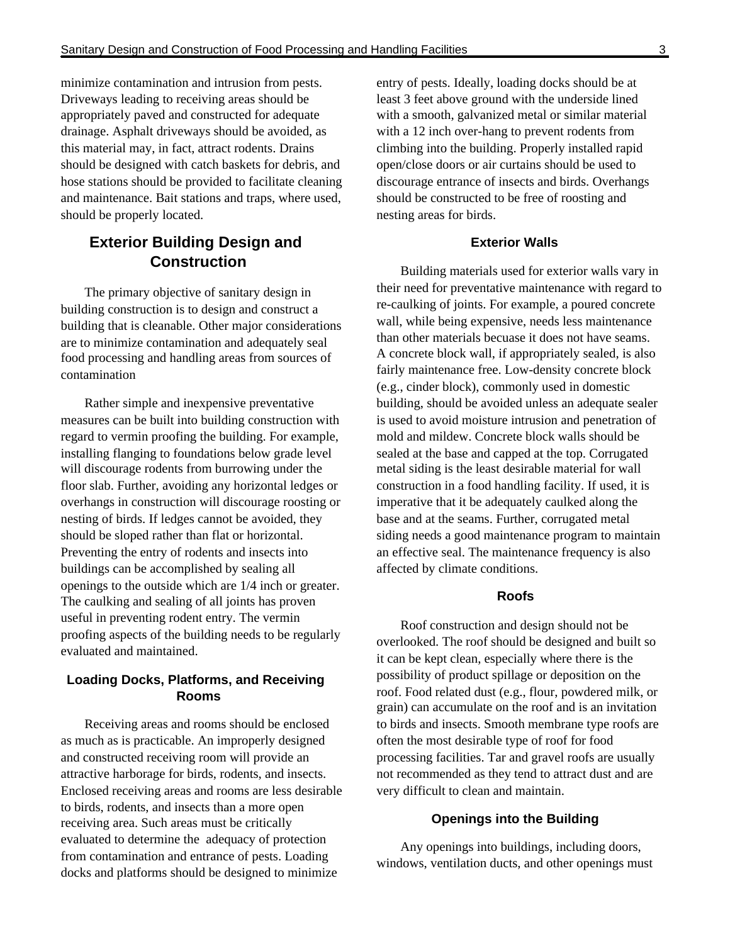minimize contamination and intrusion from pests. Driveways leading to receiving areas should be appropriately paved and constructed for adequate drainage. Asphalt driveways should be avoided, as this material may, in fact, attract rodents. Drains should be designed with catch baskets for debris, and hose stations should be provided to facilitate cleaning and maintenance. Bait stations and traps, where used, should be properly located.

## **Exterior Building Design and Construction**

The primary objective of sanitary design in building construction is to design and construct a building that is cleanable. Other major considerations are to minimize contamination and adequately seal food processing and handling areas from sources of contamination

Rather simple and inexpensive preventative measures can be built into building construction with regard to vermin proofing the building. For example, installing flanging to foundations below grade level will discourage rodents from burrowing under the floor slab. Further, avoiding any horizontal ledges or overhangs in construction will discourage roosting or nesting of birds. If ledges cannot be avoided, they should be sloped rather than flat or horizontal. Preventing the entry of rodents and insects into buildings can be accomplished by sealing all openings to the outside which are 1/4 inch or greater. The caulking and sealing of all joints has proven useful in preventing rodent entry. The vermin proofing aspects of the building needs to be regularly evaluated and maintained.

#### **Loading Docks, Platforms, and Receiving Rooms**

Receiving areas and rooms should be enclosed as much as is practicable. An improperly designed and constructed receiving room will provide an attractive harborage for birds, rodents, and insects. Enclosed receiving areas and rooms are less desirable to birds, rodents, and insects than a more open receiving area. Such areas must be critically evaluated to determine the adequacy of protection from contamination and entrance of pests. Loading docks and platforms should be designed to minimize

entry of pests. Ideally, loading docks should be at least 3 feet above ground with the underside lined with a smooth, galvanized metal or similar material with a 12 inch over-hang to prevent rodents from climbing into the building. Properly installed rapid open/close doors or air curtains should be used to discourage entrance of insects and birds. Overhangs should be constructed to be free of roosting and nesting areas for birds.

#### **Exterior Walls**

Building materials used for exterior walls vary in their need for preventative maintenance with regard to re-caulking of joints. For example, a poured concrete wall, while being expensive, needs less maintenance than other materials becuase it does not have seams. A concrete block wall, if appropriately sealed, is also fairly maintenance free. Low-density concrete block (e.g., cinder block), commonly used in domestic building, should be avoided unless an adequate sealer is used to avoid moisture intrusion and penetration of mold and mildew. Concrete block walls should be sealed at the base and capped at the top. Corrugated metal siding is the least desirable material for wall construction in a food handling facility. If used, it is imperative that it be adequately caulked along the base and at the seams. Further, corrugated metal siding needs a good maintenance program to maintain an effective seal. The maintenance frequency is also affected by climate conditions.

#### **Roofs**

Roof construction and design should not be overlooked. The roof should be designed and built so it can be kept clean, especially where there is the possibility of product spillage or deposition on the roof. Food related dust (e.g., flour, powdered milk, or grain) can accumulate on the roof and is an invitation to birds and insects. Smooth membrane type roofs are often the most desirable type of roof for food processing facilities. Tar and gravel roofs are usually not recommended as they tend to attract dust and are very difficult to clean and maintain.

#### **Openings into the Building**

Any openings into buildings, including doors, windows, ventilation ducts, and other openings must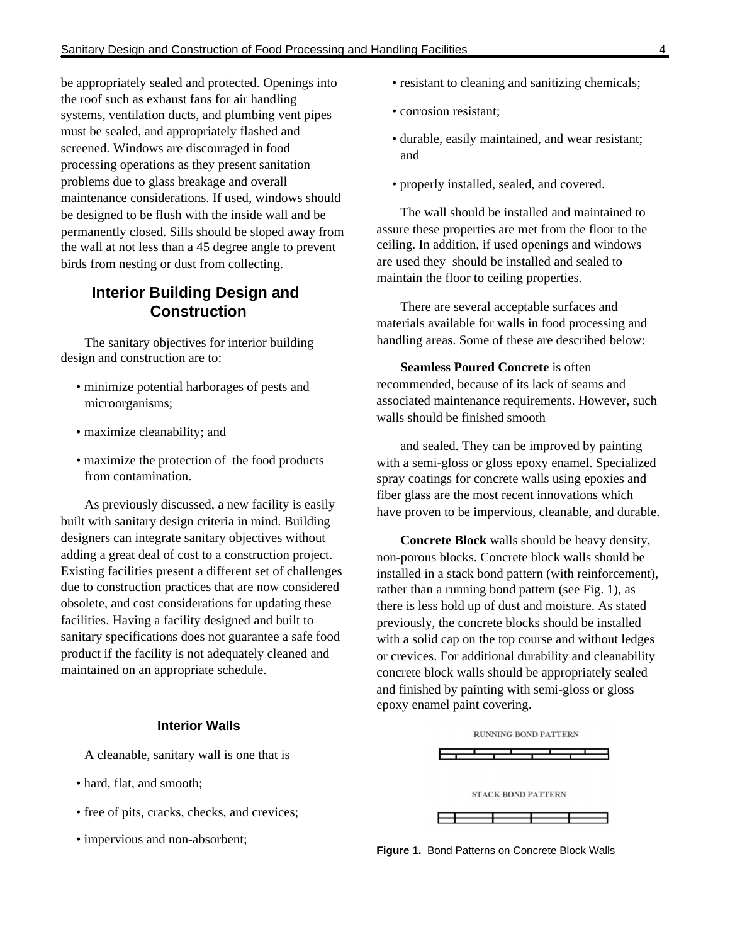be appropriately sealed and protected. Openings into the roof such as exhaust fans for air handling systems, ventilation ducts, and plumbing vent pipes must be sealed, and appropriately flashed and screened. Windows are discouraged in food processing operations as they present sanitation problems due to glass breakage and overall maintenance considerations. If used, windows should be designed to be flush with the inside wall and be permanently closed. Sills should be sloped away from the wall at not less than a 45 degree angle to prevent birds from nesting or dust from collecting.

## **Interior Building Design and Construction**

The sanitary objectives for interior building design and construction are to:

- minimize potential harborages of pests and microorganisms;
- maximize cleanability; and
- maximize the protection of the food products from contamination.

As previously discussed, a new facility is easily built with sanitary design criteria in mind. Building designers can integrate sanitary objectives without adding a great deal of cost to a construction project. Existing facilities present a different set of challenges due to construction practices that are now considered obsolete, and cost considerations for updating these facilities. Having a facility designed and built to sanitary specifications does not guarantee a safe food product if the facility is not adequately cleaned and maintained on an appropriate schedule.

#### **Interior Walls**

A cleanable, sanitary wall is one that is

- hard, flat, and smooth:
- free of pits, cracks, checks, and crevices;
- impervious and non-absorbent;
- resistant to cleaning and sanitizing chemicals;
- corrosion resistant;
- durable, easily maintained, and wear resistant; and
- properly installed, sealed, and covered.

The wall should be installed and maintained to assure these properties are met from the floor to the ceiling. In addition, if used openings and windows are used they should be installed and sealed to maintain the floor to ceiling properties.

There are several acceptable surfaces and materials available for walls in food processing and handling areas. Some of these are described below:

**Seamless Poured Concrete** is often recommended, because of its lack of seams and associated maintenance requirements. However, such walls should be finished smooth

and sealed. They can be improved by painting with a semi-gloss or gloss epoxy enamel. Specialized spray coatings for concrete walls using epoxies and fiber glass are the most recent innovations which have proven to be impervious, cleanable, and durable.

**Concrete Block** walls should be heavy density, non-porous blocks. Concrete block walls should be installed in a stack bond pattern (with reinforcement), rather than a running bond pattern (see Fig. 1), as there is less hold up of dust and moisture. As stated previously, the concrete blocks should be installed with a solid cap on the top course and without ledges or crevices. For additional durability and cleanability concrete block walls should be appropriately sealed and finished by painting with semi-gloss or gloss epoxy enamel paint covering.



**Figure 1.** Bond Patterns on Concrete Block Walls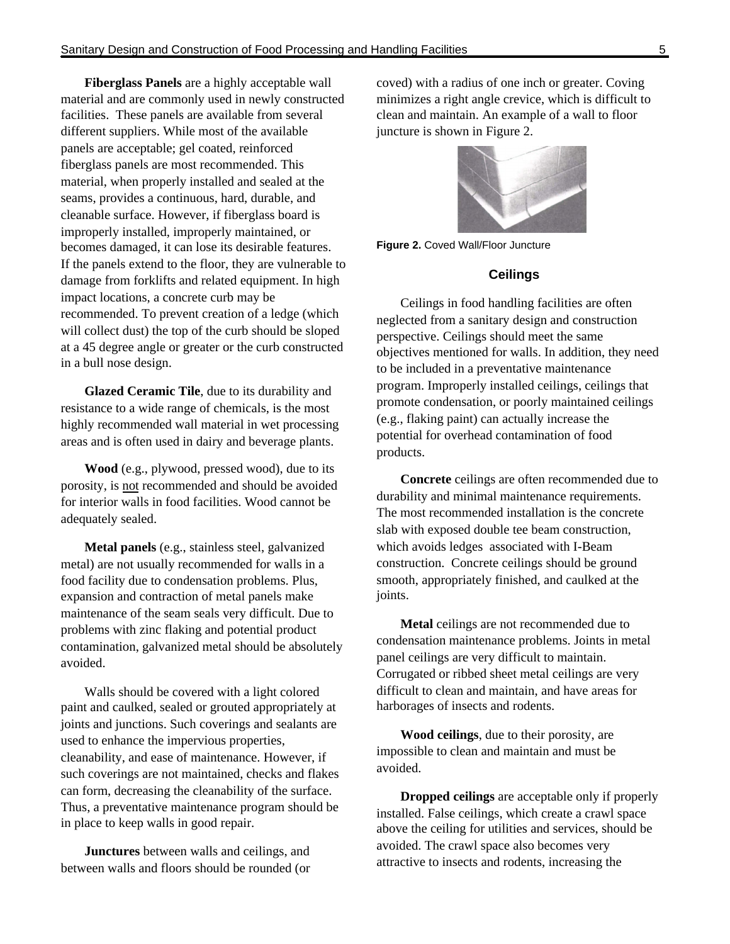**Fiberglass Panels** are a highly acceptable wall material and are commonly used in newly constructed facilities. These panels are available from several different suppliers. While most of the available panels are acceptable; gel coated, reinforced fiberglass panels are most recommended. This material, when properly installed and sealed at the seams, provides a continuous, hard, durable, and cleanable surface. However, if fiberglass board is improperly installed, improperly maintained, or becomes damaged, it can lose its desirable features. If the panels extend to the floor, they are vulnerable to damage from forklifts and related equipment. In high impact locations, a concrete curb may be recommended. To prevent creation of a ledge (which will collect dust) the top of the curb should be sloped at a 45 degree angle or greater or the curb constructed in a bull nose design.

**Glazed Ceramic Tile**, due to its durability and resistance to a wide range of chemicals, is the most highly recommended wall material in wet processing areas and is often used in dairy and beverage plants.

**Wood** (e.g., plywood, pressed wood), due to its porosity, is not recommended and should be avoided for interior walls in food facilities. Wood cannot be adequately sealed.

**Metal panels** (e.g., stainless steel, galvanized metal) are not usually recommended for walls in a food facility due to condensation problems. Plus, expansion and contraction of metal panels make maintenance of the seam seals very difficult. Due to problems with zinc flaking and potential product contamination, galvanized metal should be absolutely avoided.

Walls should be covered with a light colored paint and caulked, sealed or grouted appropriately at joints and junctions. Such coverings and sealants are used to enhance the impervious properties, cleanability, and ease of maintenance. However, if such coverings are not maintained, checks and flakes can form, decreasing the cleanability of the surface. Thus, a preventative maintenance program should be in place to keep walls in good repair.

**Junctures** between walls and ceilings, and between walls and floors should be rounded (or coved) with a radius of one inch or greater. Coving minimizes a right angle crevice, which is difficult to clean and maintain. An example of a wall to floor juncture is shown in Figure 2.



**Figure 2.** Coved Wall/Floor Juncture

#### **Ceilings**

Ceilings in food handling facilities are often neglected from a sanitary design and construction perspective. Ceilings should meet the same objectives mentioned for walls. In addition, they need to be included in a preventative maintenance program. Improperly installed ceilings, ceilings that promote condensation, or poorly maintained ceilings (e.g., flaking paint) can actually increase the potential for overhead contamination of food products.

**Concrete** ceilings are often recommended due to durability and minimal maintenance requirements. The most recommended installation is the concrete slab with exposed double tee beam construction, which avoids ledges associated with I-Beam construction. Concrete ceilings should be ground smooth, appropriately finished, and caulked at the joints.

**Metal** ceilings are not recommended due to condensation maintenance problems. Joints in metal panel ceilings are very difficult to maintain. Corrugated or ribbed sheet metal ceilings are very difficult to clean and maintain, and have areas for harborages of insects and rodents.

**Wood ceilings**, due to their porosity, are impossible to clean and maintain and must be avoided.

**Dropped ceilings** are acceptable only if properly installed. False ceilings, which create a crawl space above the ceiling for utilities and services, should be avoided. The crawl space also becomes very attractive to insects and rodents, increasing the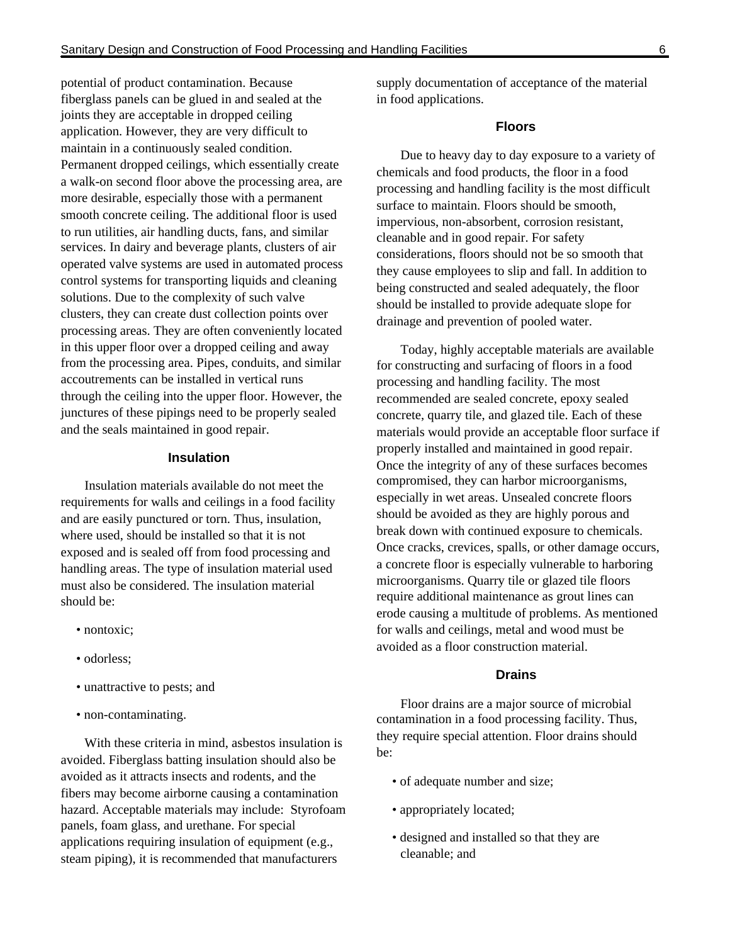potential of product contamination. Because fiberglass panels can be glued in and sealed at the joints they are acceptable in dropped ceiling application. However, they are very difficult to maintain in a continuously sealed condition. Permanent dropped ceilings, which essentially create a walk-on second floor above the processing area, are more desirable, especially those with a permanent smooth concrete ceiling. The additional floor is used to run utilities, air handling ducts, fans, and similar services. In dairy and beverage plants, clusters of air operated valve systems are used in automated process control systems for transporting liquids and cleaning solutions. Due to the complexity of such valve clusters, they can create dust collection points over processing areas. They are often conveniently located in this upper floor over a dropped ceiling and away from the processing area. Pipes, conduits, and similar accoutrements can be installed in vertical runs through the ceiling into the upper floor. However, the junctures of these pipings need to be properly sealed and the seals maintained in good repair.

#### **Insulation**

Insulation materials available do not meet the requirements for walls and ceilings in a food facility and are easily punctured or torn. Thus, insulation, where used, should be installed so that it is not exposed and is sealed off from food processing and handling areas. The type of insulation material used must also be considered. The insulation material should be:

- nontoxic:
- odorless;
- unattractive to pests; and
- non-contaminating.

With these criteria in mind, asbestos insulation is avoided. Fiberglass batting insulation should also be avoided as it attracts insects and rodents, and the fibers may become airborne causing a contamination hazard. Acceptable materials may include: Styrofoam panels, foam glass, and urethane. For special applications requiring insulation of equipment (e.g., steam piping), it is recommended that manufacturers

supply documentation of acceptance of the material in food applications.

#### **Floors**

Due to heavy day to day exposure to a variety of chemicals and food products, the floor in a food processing and handling facility is the most difficult surface to maintain. Floors should be smooth, impervious, non-absorbent, corrosion resistant, cleanable and in good repair. For safety considerations, floors should not be so smooth that they cause employees to slip and fall. In addition to being constructed and sealed adequately, the floor should be installed to provide adequate slope for drainage and prevention of pooled water.

Today, highly acceptable materials are available for constructing and surfacing of floors in a food processing and handling facility. The most recommended are sealed concrete, epoxy sealed concrete, quarry tile, and glazed tile. Each of these materials would provide an acceptable floor surface if properly installed and maintained in good repair. Once the integrity of any of these surfaces becomes compromised, they can harbor microorganisms, especially in wet areas. Unsealed concrete floors should be avoided as they are highly porous and break down with continued exposure to chemicals. Once cracks, crevices, spalls, or other damage occurs, a concrete floor is especially vulnerable to harboring microorganisms. Quarry tile or glazed tile floors require additional maintenance as grout lines can erode causing a multitude of problems. As mentioned for walls and ceilings, metal and wood must be avoided as a floor construction material.

#### **Drains**

Floor drains are a major source of microbial contamination in a food processing facility. Thus, they require special attention. Floor drains should be:

- of adequate number and size;
- appropriately located;
- designed and installed so that they are cleanable; and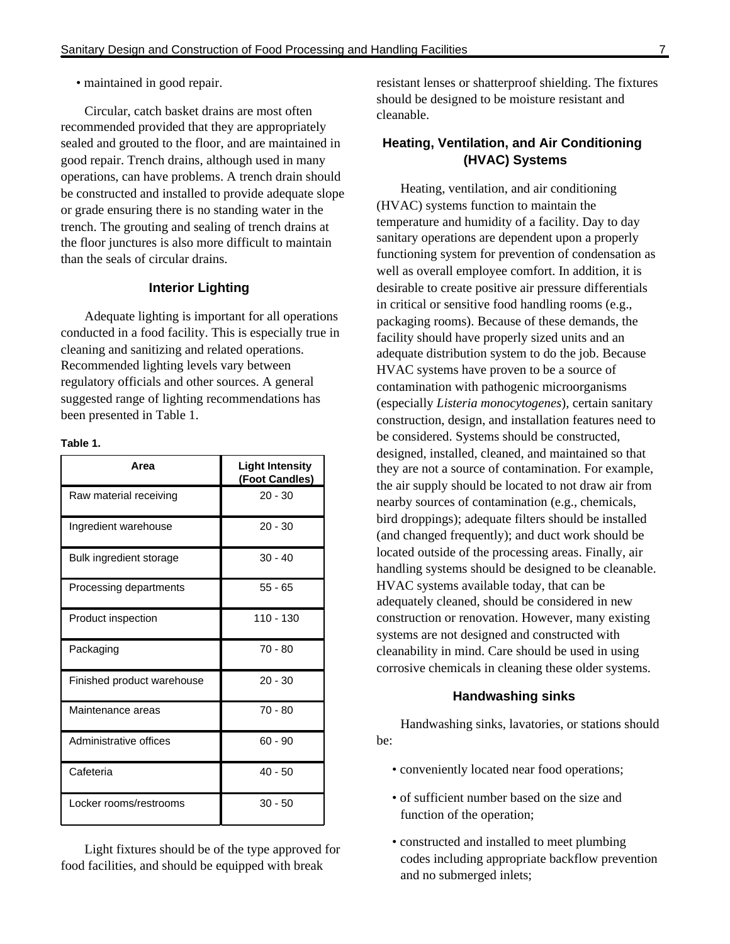• maintained in good repair.

Circular, catch basket drains are most often recommended provided that they are appropriately sealed and grouted to the floor, and are maintained in good repair. Trench drains, although used in many operations, can have problems. A trench drain should be constructed and installed to provide adequate slope or grade ensuring there is no standing water in the trench. The grouting and sealing of trench drains at the floor junctures is also more difficult to maintain than the seals of circular drains.

#### **Interior Lighting**

Adequate lighting is important for all operations conducted in a food facility. This is especially true in cleaning and sanitizing and related operations. Recommended lighting levels vary between regulatory officials and other sources. A general suggested range of lighting recommendations has been presented in Table 1.

#### **Table 1.**

| Area                       | <b>Light Intensity</b><br>(Foot Candles) |
|----------------------------|------------------------------------------|
| Raw material receiving     | $20 - 30$                                |
| Ingredient warehouse       | $20 - 30$                                |
| Bulk ingredient storage    | $30 - 40$                                |
| Processing departments     | $55 - 65$                                |
| Product inspection         | 110 - 130                                |
| Packaging                  | $70 - 80$                                |
| Finished product warehouse | $20 - 30$                                |
| Maintenance areas          | $70 - 80$                                |
| Administrative offices     | $60 - 90$                                |
| Cafeteria                  | $40 - 50$                                |
| Locker rooms/restrooms     | $30 - 50$                                |

Light fixtures should be of the type approved for food facilities, and should be equipped with break

resistant lenses or shatterproof shielding. The fixtures should be designed to be moisture resistant and cleanable.

#### **Heating, Ventilation, and Air Conditioning (HVAC) Systems**

Heating, ventilation, and air conditioning (HVAC) systems function to maintain the temperature and humidity of a facility. Day to day sanitary operations are dependent upon a properly functioning system for prevention of condensation as well as overall employee comfort. In addition, it is desirable to create positive air pressure differentials in critical or sensitive food handling rooms (e.g., packaging rooms). Because of these demands, the facility should have properly sized units and an adequate distribution system to do the job. Because HVAC systems have proven to be a source of contamination with pathogenic microorganisms (especially *Listeria monocytogenes*)*,* certain sanitary construction, design, and installation features need to be considered. Systems should be constructed, designed, installed, cleaned, and maintained so that they are not a source of contamination. For example, the air supply should be located to not draw air from nearby sources of contamination (e.g., chemicals, bird droppings); adequate filters should be installed (and changed frequently); and duct work should be located outside of the processing areas. Finally, air handling systems should be designed to be cleanable. HVAC systems available today, that can be adequately cleaned, should be considered in new construction or renovation. However, many existing systems are not designed and constructed with cleanability in mind. Care should be used in using corrosive chemicals in cleaning these older systems.

#### **Handwashing sinks**

Handwashing sinks, lavatories, or stations should be:

- conveniently located near food operations;
- of sufficient number based on the size and function of the operation;
- constructed and installed to meet plumbing codes including appropriate backflow prevention and no submerged inlets;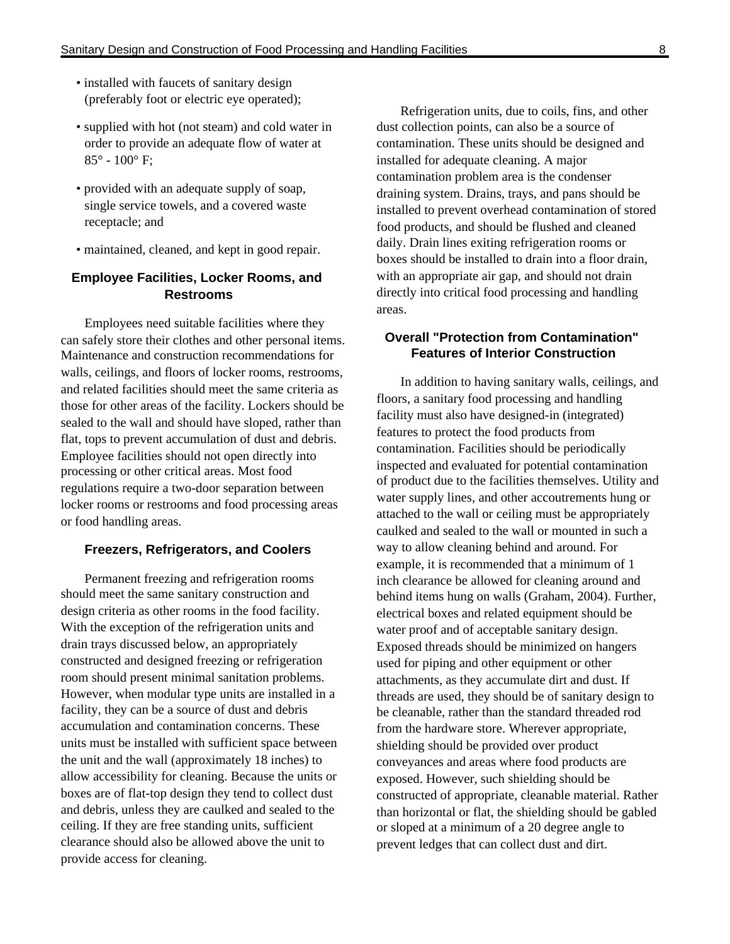- installed with faucets of sanitary design (preferably foot or electric eye operated);
- supplied with hot (not steam) and cold water in order to provide an adequate flow of water at  $85^{\circ}$  -  $100^{\circ}$  F:
- provided with an adequate supply of soap, single service towels, and a covered waste receptacle; and
- maintained, cleaned, and kept in good repair.

### **Employee Facilities, Locker Rooms, and Restrooms**

Employees need suitable facilities where they can safely store their clothes and other personal items. Maintenance and construction recommendations for walls, ceilings, and floors of locker rooms, restrooms, and related facilities should meet the same criteria as those for other areas of the facility. Lockers should be sealed to the wall and should have sloped, rather than flat, tops to prevent accumulation of dust and debris. Employee facilities should not open directly into processing or other critical areas. Most food regulations require a two-door separation between locker rooms or restrooms and food processing areas or food handling areas.

#### **Freezers, Refrigerators, and Coolers**

Permanent freezing and refrigeration rooms should meet the same sanitary construction and design criteria as other rooms in the food facility. With the exception of the refrigeration units and drain trays discussed below, an appropriately constructed and designed freezing or refrigeration room should present minimal sanitation problems. However, when modular type units are installed in a facility, they can be a source of dust and debris accumulation and contamination concerns. These units must be installed with sufficient space between the unit and the wall (approximately 18 inches) to allow accessibility for cleaning. Because the units or boxes are of flat-top design they tend to collect dust and debris, unless they are caulked and sealed to the ceiling. If they are free standing units, sufficient clearance should also be allowed above the unit to provide access for cleaning.

Refrigeration units, due to coils, fins, and other dust collection points, can also be a source of contamination. These units should be designed and installed for adequate cleaning. A major contamination problem area is the condenser draining system. Drains, trays, and pans should be installed to prevent overhead contamination of stored food products, and should be flushed and cleaned daily. Drain lines exiting refrigeration rooms or boxes should be installed to drain into a floor drain, with an appropriate air gap, and should not drain directly into critical food processing and handling areas.

#### **Overall "Protection from Contamination" Features of Interior Construction**

In addition to having sanitary walls, ceilings, and floors, a sanitary food processing and handling facility must also have designed-in (integrated) features to protect the food products from contamination. Facilities should be periodically inspected and evaluated for potential contamination of product due to the facilities themselves. Utility and water supply lines, and other accoutrements hung or attached to the wall or ceiling must be appropriately caulked and sealed to the wall or mounted in such a way to allow cleaning behind and around. For example, it is recommended that a minimum of 1 inch clearance be allowed for cleaning around and behind items hung on walls (Graham, 2004). Further, electrical boxes and related equipment should be water proof and of acceptable sanitary design. Exposed threads should be minimized on hangers used for piping and other equipment or other attachments, as they accumulate dirt and dust. If threads are used, they should be of sanitary design to be cleanable, rather than the standard threaded rod from the hardware store. Wherever appropriate, shielding should be provided over product conveyances and areas where food products are exposed. However, such shielding should be constructed of appropriate, cleanable material. Rather than horizontal or flat, the shielding should be gabled or sloped at a minimum of a 20 degree angle to prevent ledges that can collect dust and dirt.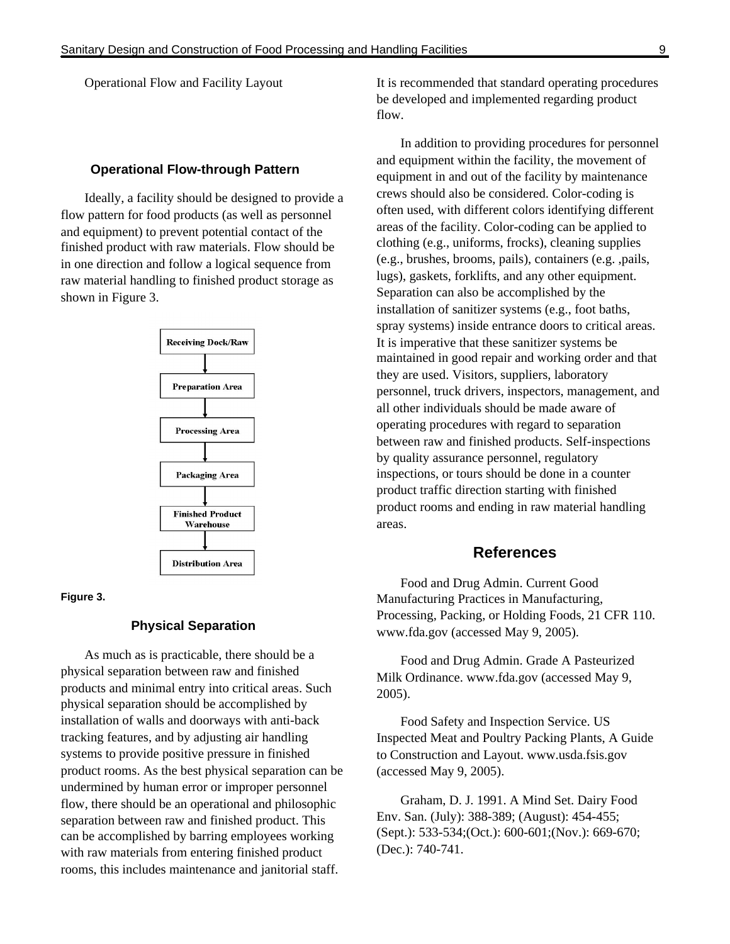Operational Flow and Facility Layout

#### **Operational Flow-through Pattern**

Ideally, a facility should be designed to provide a flow pattern for food products (as well as personnel and equipment) to prevent potential contact of the finished product with raw materials. Flow should be in one direction and follow a logical sequence from raw material handling to finished product storage as shown in Figure 3.



#### **Figure 3.**

#### **Physical Separation**

As much as is practicable, there should be a physical separation between raw and finished products and minimal entry into critical areas. Such physical separation should be accomplished by installation of walls and doorways with anti-back tracking features, and by adjusting air handling systems to provide positive pressure in finished product rooms. As the best physical separation can be undermined by human error or improper personnel flow, there should be an operational and philosophic separation between raw and finished product. This can be accomplished by barring employees working with raw materials from entering finished product rooms, this includes maintenance and janitorial staff.

It is recommended that standard operating procedures be developed and implemented regarding product flow.

In addition to providing procedures for personnel and equipment within the facility, the movement of equipment in and out of the facility by maintenance crews should also be considered. Color-coding is often used, with different colors identifying different areas of the facility. Color-coding can be applied to clothing (e.g., uniforms, frocks), cleaning supplies (e.g., brushes, brooms, pails), containers (e.g. ,pails, lugs), gaskets, forklifts, and any other equipment. Separation can also be accomplished by the installation of sanitizer systems (e.g., foot baths, spray systems) inside entrance doors to critical areas. It is imperative that these sanitizer systems be maintained in good repair and working order and that they are used. Visitors, suppliers, laboratory personnel, truck drivers, inspectors, management, and all other individuals should be made aware of operating procedures with regard to separation between raw and finished products. Self-inspections by quality assurance personnel, regulatory inspections, or tours should be done in a counter product traffic direction starting with finished product rooms and ending in raw material handling areas.

#### **References**

Food and Drug Admin. Current Good Manufacturing Practices in Manufacturing, Processing, Packing, or Holding Foods, 21 CFR 110. www.fda.gov (accessed May 9, 2005).

Food and Drug Admin. Grade A Pasteurized Milk Ordinance. www.fda.gov (accessed May 9, 2005).

Food Safety and Inspection Service. US Inspected Meat and Poultry Packing Plants, A Guide to Construction and Layout. www.usda.fsis.gov (accessed May 9, 2005).

Graham, D. J. 1991. A Mind Set. Dairy Food Env. San. (July): 388-389; (August): 454-455; (Sept.): 533-534;(Oct.): 600-601;(Nov.): 669-670; (Dec.): 740-741.